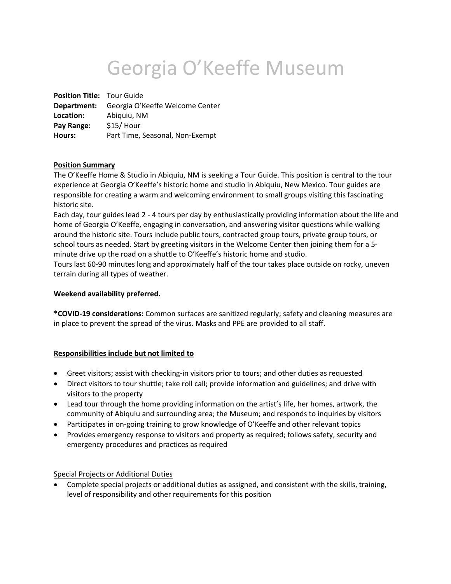# Georgia O'Keeffe Museum

**Position Title:** Tour Guide **Department:** Georgia O'Keeffe Welcome Center **Location:** Abiquiu, NM **Pay Range:** \$15/ Hour **Hours:** Part Time, Seasonal, Non-Exempt

## **Position Summary**

The O'Keeffe Home & Studio in Abiquiu, NM is seeking a Tour Guide. This position is central to the tour experience at Georgia O'Keeffe's historic home and studio in Abiquiu, New Mexico. Tour guides are responsible for creating a warm and welcoming environment to small groups visiting this fascinating historic site.

Each day, tour guides lead 2 - 4 tours per day by enthusiastically providing information about the life and home of Georgia O'Keeffe, engaging in conversation, and answering visitor questions while walking around the historic site. Tours include public tours, contracted group tours, private group tours, or school tours as needed. Start by greeting visitors in the Welcome Center then joining them for a 5 minute drive up the road on a shuttle to O'Keeffe's historic home and studio.

Tours last 60-90 minutes long and approximately half of the tour takes place outside on rocky, uneven terrain during all types of weather.

## **Weekend availability preferred.**

**\*COVID-19 considerations:** Common surfaces are sanitized regularly; safety and cleaning measures are in place to prevent the spread of the virus. Masks and PPE are provided to all staff.

## **Responsibilities include but not limited to**

- Greet visitors; assist with checking-in visitors prior to tours; and other duties as requested
- Direct visitors to tour shuttle; take roll call; provide information and guidelines; and drive with visitors to the property
- Lead tour through the home providing information on the artist's life, her homes, artwork, the community of Abiquiu and surrounding area; the Museum; and responds to inquiries by visitors
- Participates in on-going training to grow knowledge of O'Keeffe and other relevant topics
- Provides emergency response to visitors and property as required; follows safety, security and emergency procedures and practices as required

## Special Projects or Additional Duties

• Complete special projects or additional duties as assigned, and consistent with the skills, training, level of responsibility and other requirements for this position